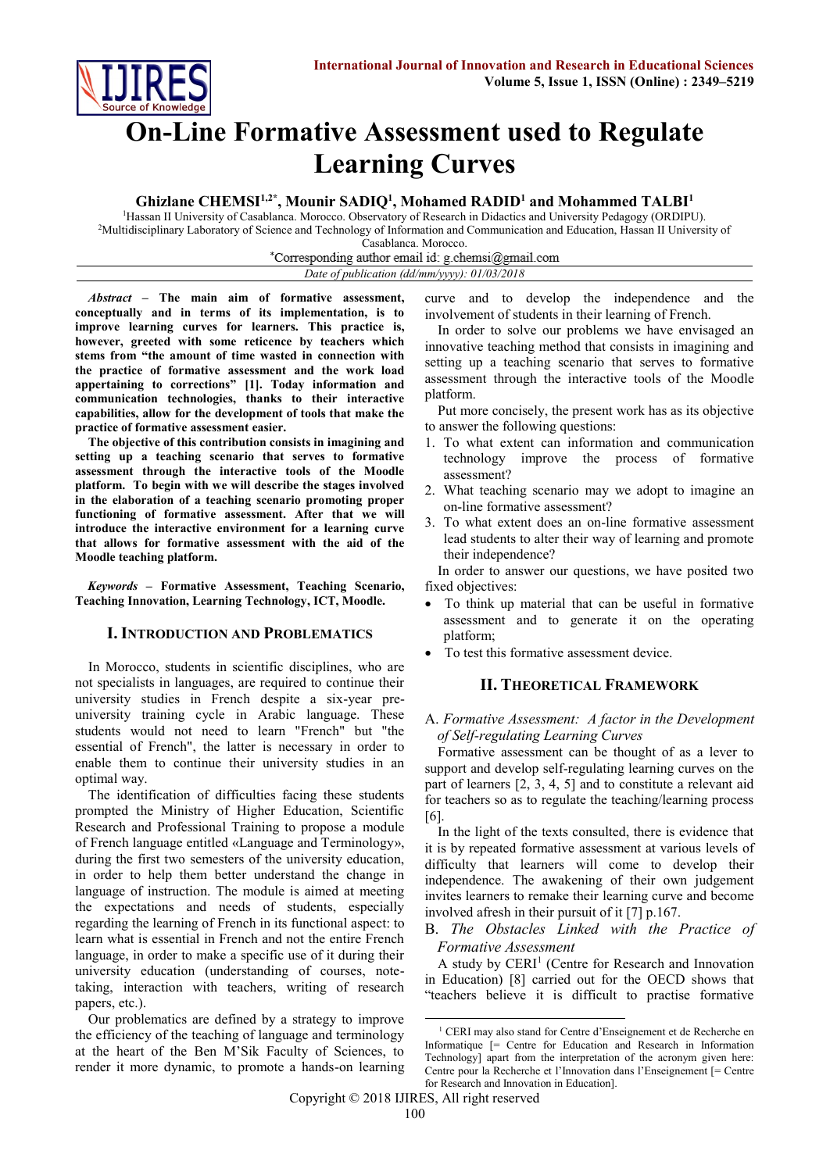

# **On-Line Formative Assessment used to Regulate Learning Curves**

# **Ghizlane CHEMSI1,2\* , Mounir SADIQ<sup>1</sup> , Mohamed RADID<sup>1</sup> and Mohammed TALBI<sup>1</sup>**

<sup>1</sup>Hassan II University of Casablanca. Morocco. Observatory of Research in Didactics and University Pedagogy (ORDIPU). <sup>2</sup>Multidisciplinary Laboratory of Science and Technology of Information and Communication and Education, Hassan II University of Casablanca. Morocco.

\*Corresponding author email id: g.chemsi@gmail.com

*Date of publication (dd/mm/yyyy): 01/03/2018*

*Abstract* **– The main aim of formative assessment, conceptually and in terms of its implementation, is to improve learning curves for learners. This practice is, however, greeted with some reticence by teachers which stems from "the amount of time wasted in connection with the practice of formative assessment and the work load appertaining to corrections" [1]. Today information and communication technologies, thanks to their interactive capabilities, allow for the development of tools that make the practice of formative assessment easier.**

**The objective of this contribution consists in imagining and setting up a teaching scenario that serves to formative assessment through the interactive tools of the Moodle platform. To begin with we will describe the stages involved in the elaboration of a teaching scenario promoting proper functioning of formative assessment. After that we will introduce the interactive environment for a learning curve that allows for formative assessment with the aid of the Moodle teaching platform.**

*Keywords* **– Formative Assessment, Teaching Scenario, Teaching Innovation, Learning Technology, ICT, Moodle.**

# **I. INTRODUCTION AND PROBLEMATICS**

In Morocco, students in scientific disciplines, who are not specialists in languages, are required to continue their university studies in French despite a six-year preuniversity training cycle in Arabic language. These students would not need to learn "French" but "the essential of French", the latter is necessary in order to enable them to continue their university studies in an optimal way.

The identification of difficulties facing these students prompted the Ministry of Higher Education, Scientific Research and Professional Training to propose a module of French language entitled «Language and Terminology», during the first two semesters of the university education, in order to help them better understand the change in language of instruction. The module is aimed at meeting the expectations and needs of students, especially regarding the learning of French in its functional aspect: to learn what is essential in French and not the entire French language, in order to make a specific use of it during their university education (understanding of courses, notetaking, interaction with teachers, writing of research papers, etc.).

Our problematics are defined by a strategy to improve the efficiency of the teaching of language and terminology at the heart of the Ben M'Sik Faculty of Sciences, to render it more dynamic, to promote a hands-on learning curve and to develop the independence and the involvement of students in their learning of French.

In order to solve our problems we have envisaged an innovative teaching method that consists in imagining and setting up a teaching scenario that serves to formative assessment through the interactive tools of the Moodle platform.

Put more concisely, the present work has as its objective to answer the following questions:

- 1. To what extent can information and communication technology improve the process of formative assessment?
- 2. What teaching scenario may we adopt to imagine an on-line formative assessment?
- 3. To what extent does an on-line formative assessment lead students to alter their way of learning and promote their independence?

In order to answer our questions, we have posited two fixed objectives:

- To think up material that can be useful in formative assessment and to generate it on the operating platform;
- To test this formative assessment device.

#### **II. THEORETICAL FRAMEWORK**

#### A. *Formative Assessment: A factor in the Development of Self-regulating Learning Curves*

Formative assessment can be thought of as a lever to support and develop self-regulating learning curves on the part of learners [2, 3, 4, 5] and to constitute a relevant aid for teachers so as to regulate the teaching/learning process [6].

In the light of the texts consulted, there is evidence that it is by repeated formative assessment at various levels of difficulty that learners will come to develop their independence. The awakening of their own judgement invites learners to remake their learning curve and become involved afresh in their pursuit of it [7] p.167.

#### B. *The Obstacles Linked with the Practice of [Formative](http://www.nwlink.com/~donclark/hrd/isd/types_of_evaluations.html) Assessment*

A study by CERI<sup>1</sup> (Centre for Research and Innovation in Education) [8] carried out for the OECD shows that "teachers believe it is difficult to practise formative

 $\overline{a}$ <sup>1</sup> CERI may also stand for Centre d'Enseignement et de Recherche en Informatique [= Centre for Education and Research in Information Technology] apart from the interpretation of the acronym given here: Centre pour la Recherche et l'Innovation dans l'Enseignement [= Centre for Research and Innovation in Education].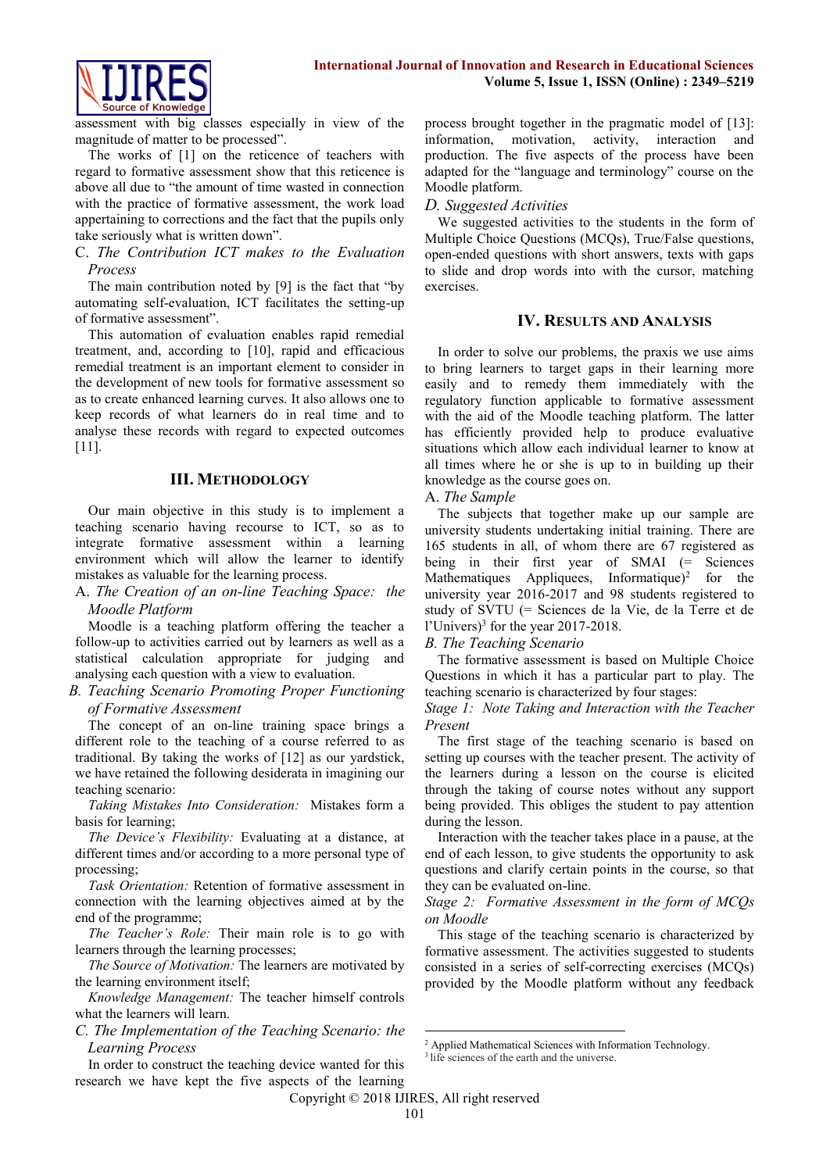

assessment with big classes especially in view of the magnitude of matter to be processed".

The works of [1] on the reticence of teachers with regard to formative assessment show that this reticence is above all due to "the amount of time wasted in connection with the practice of formative assessment, the work load appertaining to corrections and the fact that the pupils only take seriously what is written down".

#### C. *The Contribution ICT makes to the Evaluation Process*

The main contribution noted by [9] is the fact that "by automating self-evaluation, ICT facilitates the setting-up of formative assessment".

This automation of evaluation enables rapid remedial treatment, and, according to [10], rapid and efficacious remedial treatment is an important element to consider in the development of new tools for formative assessment so as to create enhanced learning curves. It also allows one to keep records of what learners do in real time and to analyse these records with regard to expected outcomes [11].

## **III. METHODOLOGY**

Our main objective in this study is to implement a teaching scenario having recourse to ICT, so as to integrate formative assessment within a learning environment which will allow the learner to identify mistakes as valuable for the learning process.

#### A. *The Creation of an on-line Teaching Space: the Moodle Platform*

Moodle is a teaching platform offering the teacher a follow-up to activities carried out by learners as well as a statistical calculation appropriate for judging and analysing each question with a view to evaluation.

*B. Teaching Scenario Promoting Proper Functioning of [Formative](http://www.nwlink.com/~donclark/hrd/isd/types_of_evaluations.html) Assessment*

The concept of an on-line training space brings a different role to the teaching of a course referred to as traditional. By taking the works of [12] as our yardstick, we have retained the following desiderata in imagining our teaching scenario:

*Taking Mistakes Into Consideration:* Mistakes form a basis for learning;

*The Device's Flexibility:* Evaluating at a distance, at different times and/or according to a more personal type of processing;

*Task Orientation:* Retention of [formative](http://www.nwlink.com/~donclark/hrd/isd/types_of_evaluations.html) assessment in connection with the learning objectives aimed at by the end of the programme;

*The Teacher's Role:* Their main role is to go with learners through the learning processes;

*The Source of Motivation:* The learners are motivated by the learning environment itself;

*Knowledge Management:* The teacher himself controls what the learners will learn.

*C. The Implementation of the Teaching Scenario: the Learning Process*

In order to construct the teaching device wanted for this research we have kept the five aspects of the learning process brought together in the pragmatic model of [13]: information, motivation, activity, interaction and production. The five aspects of the process have been adapted for the "language and terminology" course on the Moodle platform.

## *D. Suggested Activities*

We suggested activities to the students in the form of Multiple Choice Questions (MCQs), True/False questions, open-ended questions with short answers, texts with gaps to slide and drop words into with the cursor, matching exercises.

## **IV. RESULTS AND ANALYSIS**

In order to solve our problems, the praxis we use aims to bring learners to target gaps in their learning more easily and to remedy them immediately with the regulatory function applicable to formative assessment with the aid of the Moodle teaching platform. The latter has efficiently provided help to produce evaluative situations which allow each individual learner to know at all times where he or she is up to in building up their knowledge as the course goes on.

## A. *The Sample*

The subjects that together make up our sample are university students undertaking initial training. There are 165 students in all, of whom there are 67 registered as being in their first year of SMAI (= Sciences Mathematiques Appliquees, Informatique $)^2$  for the university year 2016-2017 and 98 students registered to study of SVTU (= Sciences de la Vie, de la Terre et de l'Univers)<sup>3</sup> for the year 2017-2018.

#### *B. The Teaching Scenario*

The [formative](http://www.nwlink.com/~donclark/hrd/isd/types_of_evaluations.html) assessment is based on Multiple Choice Questions in which it has a particular part to play. The teaching scenario is characterized by four stages:

*Stage 1: Note Taking and Interaction with the Teacher Present*

The first stage of the teaching scenario is based on setting up courses with the teacher present. The activity of the learners during a lesson on the course is elicited through the taking of course notes without any support being provided. This obliges the student to pay attention during the lesson.

Interaction with the teacher takes place in a pause, at the end of each lesson, to give students the opportunity to ask questions and clarify certain points in the course, so that they can be evaluated on-line.

*Stage 2: Formative Assessment in the form of MCQs on Moodle*

This stage of the teaching scenario is characterized by formative assessment. The activities suggested to students consisted in a series of self-correcting exercises (MCQs) provided by the Moodle platform without any feedback

Copyright © 2018 IJIRES, All right reserved

<sup>1</sup> <sup>2</sup> Applied Mathematical Sciences with Information Technology.

<sup>&</sup>lt;sup>3</sup> life sciences of the earth and the universe.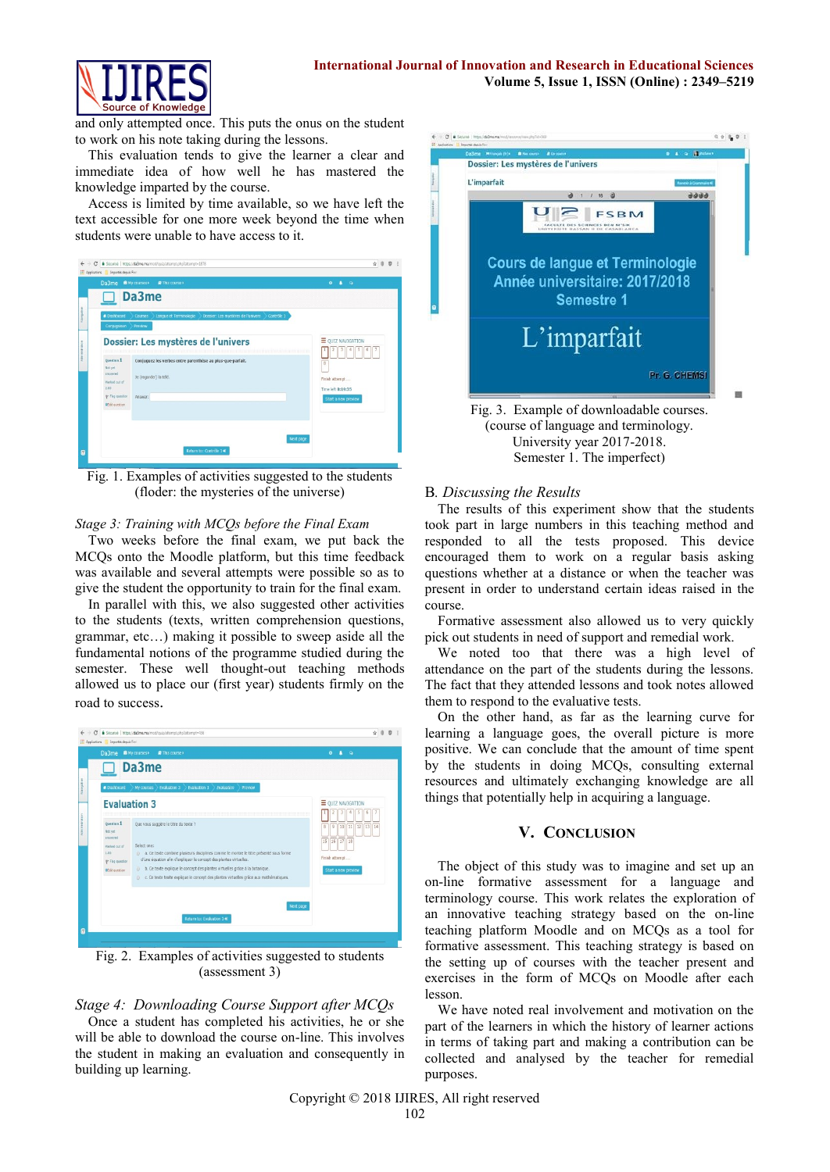

and only attempted once. This puts the onus on the student to work on his note taking during the lessons.

This evaluation tends to give the learner a clear and immediate idea of how well he has mastered the knowledge imparted by the course.

Access is limited by time available, so we have left the text accessible for one more week beyond the time when students were unable to have access to it.



Fig. 1. Examples of activities suggested to the students (floder: the mysteries of the universe)

#### *Stage 3: Training with MCQs before the Final Exam*

Two weeks before the final exam, we put back the MCQs onto the Moodle platform, but this time feedback was available and several attempts were possible so as to give the student the opportunity to train for the final exam.

In parallel with this, we also suggested other activities to the students (texts, written comprehension questions, grammar, etc…) making it possible to sweep aside all the fundamental notions of the programme studied during the semester. These well thought-out teaching methods allowed us to place our (first year) students firmly on the road to success.



Fig. 2. Examples of activities suggested to students (assessment 3)

*Stage 4: Downloading Course Support after MCQs*

Once a student has completed his activities, he or she will be able to download the course on-line. This involves the student in making an evaluation and consequently in building up learning.



University year 2017-2018. Semester 1. The imperfect)

#### B*. Discussing the Results*

The results of this experiment show that the students took part in large numbers in this teaching method and responded to all the tests proposed. This device encouraged them to work on a regular basis asking questions whether at a distance or when the teacher was present in order to understand certain ideas raised in the course.

[Formative](http://www.nwlink.com/~donclark/hrd/isd/types_of_evaluations.html) assessment also allowed us to very quickly pick out students in need of support and remedial work.

We noted too that there was a high level of attendance on the part of the students during the lessons. The fact that they attended lessons and took notes allowed them to respond to the evaluative tests.

On the other hand, as far as the learning curve for learning a language goes, the overall picture is more positive. We can conclude that the amount of time spent by the students in doing MCQs, consulting external resources and ultimately exchanging knowledge are all things that potentially help in acquiring a language.

## **V. CONCLUSION**

The object of this study was to imagine and set up an on-line [formative](http://www.nwlink.com/~donclark/hrd/isd/types_of_evaluations.html) assessment for a language and terminology course. This work relates the exploration of an innovative teaching strategy based on the on-line teaching platform Moodle and on MCQs as a tool for [formative](http://www.nwlink.com/~donclark/hrd/isd/types_of_evaluations.html) assessment. This teaching strategy is based on the setting up of courses with the teacher present and exercises in the form of MCQs on Moodle after each lesson.

We have noted real involvement and motivation on the part of the learners in which the history of learner actions in terms of taking part and making a contribution can be collected and analysed by the teacher for remedial purposes.